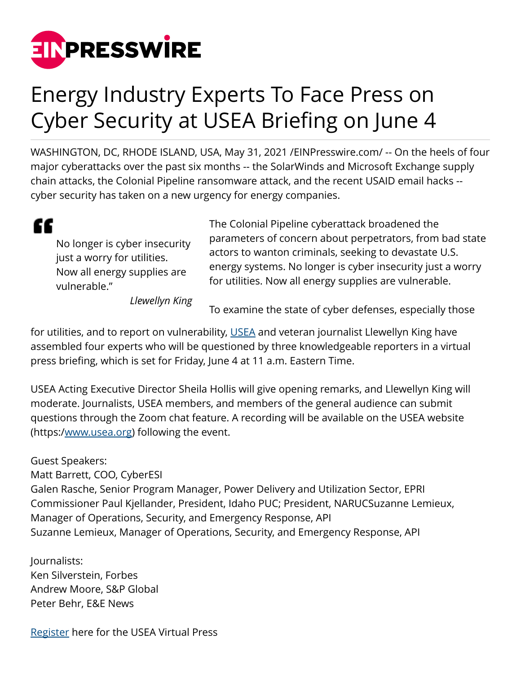

## Energy Industry Experts To Face Press on Cyber Security at USEA Briefing on June 4

WASHINGTON, DC, RHODE ISLAND, USA, May 31, 2021 [/EINPresswire.com/](http://www.einpresswire.com) -- On the heels of four major cyberattacks over the past six months -- the SolarWinds and Microsoft Exchange supply chain attacks, the Colonial Pipeline ransomware attack, and the recent USAID email hacks - cyber security has taken on a new urgency for energy companies.

## "

No longer is cyber insecurity just a worry for utilities. Now all energy supplies are vulnerable."

The Colonial Pipeline cyberattack broadened the parameters of concern about perpetrators, from bad state actors to wanton criminals, seeking to devastate U.S. energy systems. No longer is cyber insecurity just a worry for utilities. Now all energy supplies are vulnerable.

*Llewellyn King*

To examine the state of cyber defenses, especially those

for utilities, and to report on vulnerability, [USEA](https://usea.org) and veteran journalist Llewellyn King have assembled four experts who will be questioned by three knowledgeable reporters in a virtual press briefing, which is set for Friday, June 4 at 11 a.m. Eastern Time.

USEA Acting Executive Director Sheila Hollis will give opening remarks, and Llewellyn King will moderate. Journalists, USEA members, and members of the general audience can submit questions through the Zoom chat feature. A recording will be available on the USEA website (https:[/www.usea.org\)](http://www.usea.org) following the event.

Guest Speakers: Matt Barrett, COO, CyberESI Galen Rasche, Senior Program Manager, Power Delivery and Utilization Sector, EPRI Commissioner Paul Kjellander, President, Idaho PUC; President, NARUCSuzanne Lemieux, Manager of Operations, Security, and Emergency Response, API Suzanne Lemieux, Manager of Operations, Security, and Emergency Response, API

Journalists: Ken Silverstein, Forbes Andrew Moore, S&P Global Peter Behr, E&E News

[Register](https://us02web.zoom.us/webinar/register/WN_TjGkKHEeRlOtK4otZJqtAw) here for the USEA Virtual Press